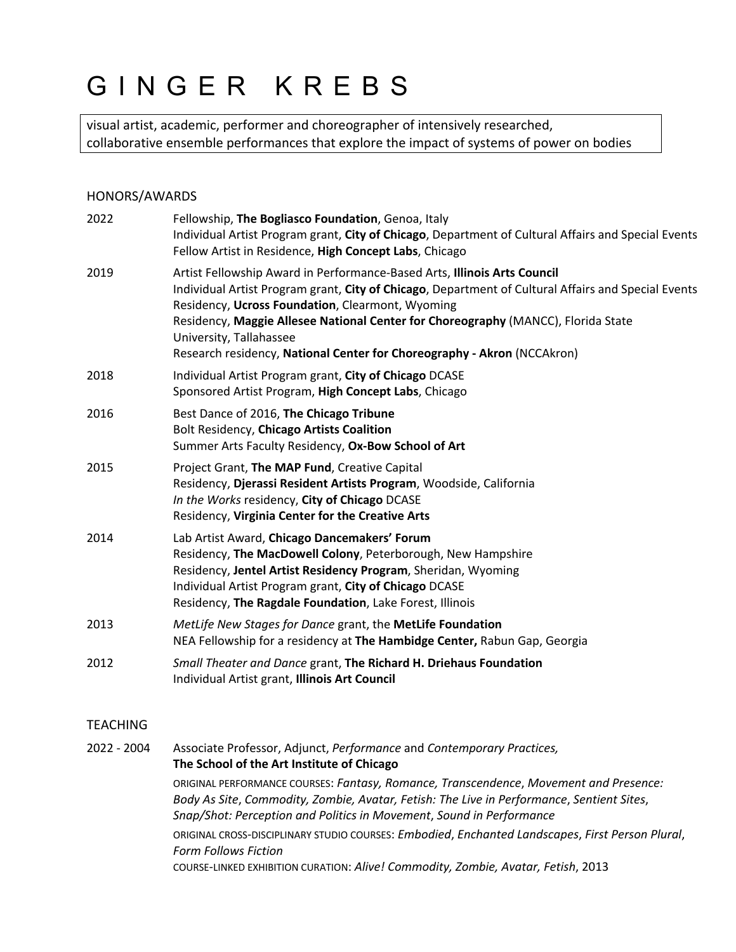# GINGER KREBS

visual artist, academic, performer and choreographer of intensively researched, collaborative ensemble performances that explore the impact of systems of power on bodies

## HONORS/AWARDS

| 2022 | Fellowship, The Bogliasco Foundation, Genoa, Italy<br>Individual Artist Program grant, City of Chicago, Department of Cultural Affairs and Special Events<br>Fellow Artist in Residence, High Concept Labs, Chicago                                                                                                                                                                                                            |
|------|--------------------------------------------------------------------------------------------------------------------------------------------------------------------------------------------------------------------------------------------------------------------------------------------------------------------------------------------------------------------------------------------------------------------------------|
| 2019 | Artist Fellowship Award in Performance-Based Arts, Illinois Arts Council<br>Individual Artist Program grant, City of Chicago, Department of Cultural Affairs and Special Events<br>Residency, Ucross Foundation, Clearmont, Wyoming<br>Residency, Maggie Allesee National Center for Choreography (MANCC), Florida State<br>University, Tallahassee<br>Research residency, National Center for Choreography - Akron (NCCAkron) |
| 2018 | Individual Artist Program grant, City of Chicago DCASE<br>Sponsored Artist Program, High Concept Labs, Chicago                                                                                                                                                                                                                                                                                                                 |
| 2016 | Best Dance of 2016, The Chicago Tribune<br>Bolt Residency, Chicago Artists Coalition<br>Summer Arts Faculty Residency, Ox-Bow School of Art                                                                                                                                                                                                                                                                                    |
| 2015 | Project Grant, The MAP Fund, Creative Capital<br>Residency, Djerassi Resident Artists Program, Woodside, California<br>In the Works residency, City of Chicago DCASE<br>Residency, Virginia Center for the Creative Arts                                                                                                                                                                                                       |
| 2014 | Lab Artist Award, Chicago Dancemakers' Forum<br>Residency, The MacDowell Colony, Peterborough, New Hampshire<br>Residency, Jentel Artist Residency Program, Sheridan, Wyoming<br>Individual Artist Program grant, City of Chicago DCASE<br>Residency, The Ragdale Foundation, Lake Forest, Illinois                                                                                                                            |
| 2013 | MetLife New Stages for Dance grant, the MetLife Foundation<br>NEA Fellowship for a residency at The Hambidge Center, Rabun Gap, Georgia                                                                                                                                                                                                                                                                                        |
| 2012 | Small Theater and Dance grant, The Richard H. Driehaus Foundation<br>Individual Artist grant, Illinois Art Council                                                                                                                                                                                                                                                                                                             |
|      |                                                                                                                                                                                                                                                                                                                                                                                                                                |

# **TEACHING**

2022 - 2004 Associate Professor, Adjunct, *Performance* and *Contemporary Practices,* **The School of the Art Institute of Chicago** ORIGINAL PERFORMANCE COURSES: *Fantasy, Romance, Transcendence*, *Movement and Presence: Body As Site*, *Commodity, Zombie, Avatar, Fetish: The Live in Performance*, *Sentient Sites*, *Snap/Shot: Perception and Politics in Movement*, *Sound in Performance* ORIGINAL CROSS-DISCIPLINARY STUDIO COURSES: *Embodied*, *Enchanted Landscapes*, *First Person Plural*, *Form Follows Fiction* COURSE-LINKED EXHIBITION CURATION: *Alive! Commodity, Zombie, Avatar, Fetish*, 2013